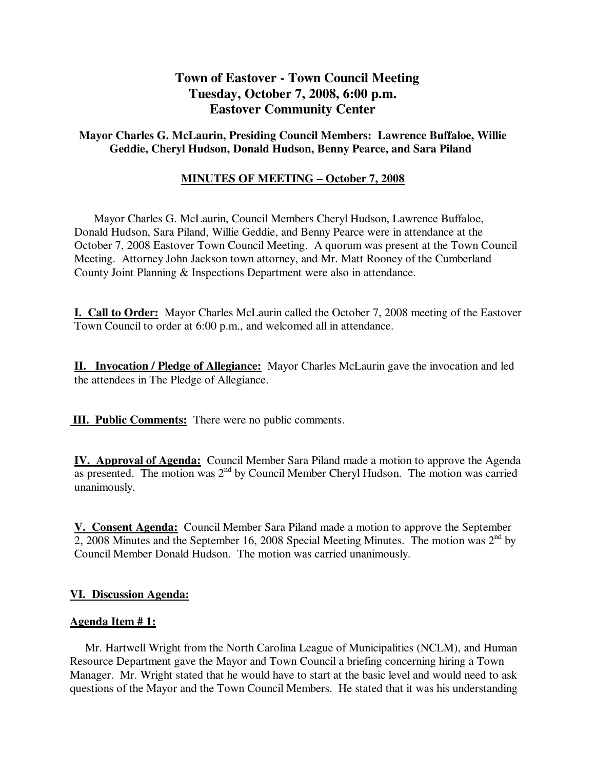# **Town of Eastover - Town Council Meeting Tuesday, October 7, 2008, 6:00 p.m. Eastover Community Center**

## **Mayor Charles G. McLaurin, Presiding Council Members: Lawrence Buffaloe, Willie Geddie, Cheryl Hudson, Donald Hudson, Benny Pearce, and Sara Piland**

## **MINUTES OF MEETING – October 7, 2008**

 Mayor Charles G. McLaurin, Council Members Cheryl Hudson, Lawrence Buffaloe, Donald Hudson, Sara Piland, Willie Geddie, and Benny Pearce were in attendance at the October 7, 2008 Eastover Town Council Meeting. A quorum was present at the Town Council Meeting. Attorney John Jackson town attorney, and Mr. Matt Rooney of the Cumberland County Joint Planning & Inspections Department were also in attendance.

**I. Call to Order:** Mayor Charles McLaurin called the October 7, 2008 meeting of the Eastover Town Council to order at 6:00 p.m., and welcomed all in attendance.

**II. Invocation / Pledge of Allegiance:** Mayor Charles McLaurin gave the invocation and led the attendees in The Pledge of Allegiance.

 **III. Public Comments:** There were no public comments.

**IV. Approval of Agenda:** Council Member Sara Piland made a motion to approve the Agenda as presented. The motion was  $2<sup>nd</sup>$  by Council Member Cheryl Hudson. The motion was carried unanimously.

**V. Consent Agenda:** Council Member Sara Piland made a motion to approve the September 2, 2008 Minutes and the September 16, 2008 Special Meeting Minutes. The motion was  $2<sup>nd</sup>$  by Council Member Donald Hudson. The motion was carried unanimously.

### **VI. Discussion Agenda:**

### **Agenda Item # 1:**

Mr. Hartwell Wright from the North Carolina League of Municipalities (NCLM), and Human Resource Department gave the Mayor and Town Council a briefing concerning hiring a Town Manager. Mr. Wright stated that he would have to start at the basic level and would need to ask questions of the Mayor and the Town Council Members. He stated that it was his understanding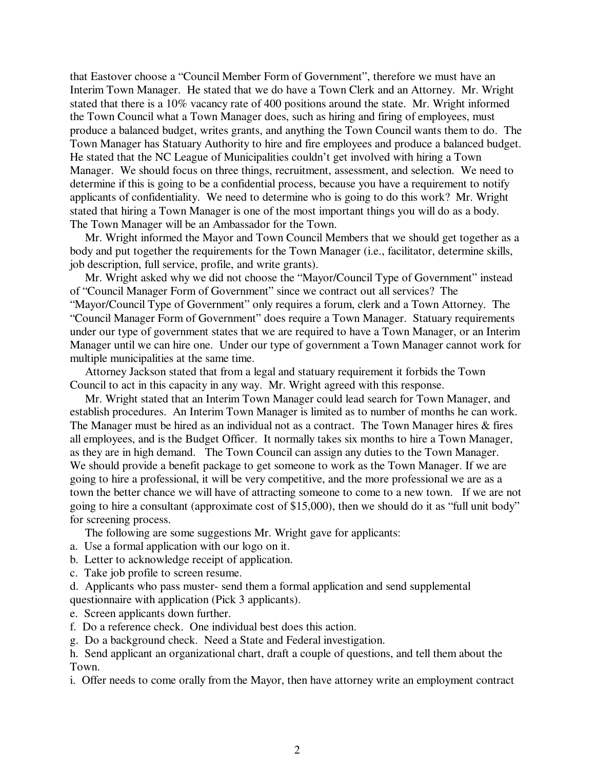that Eastover choose a "Council Member Form of Government", therefore we must have an Interim Town Manager. He stated that we do have a Town Clerk and an Attorney. Mr. Wright stated that there is a 10% vacancy rate of 400 positions around the state. Mr. Wright informed the Town Council what a Town Manager does, such as hiring and firing of employees, must produce a balanced budget, writes grants, and anything the Town Council wants them to do. The Town Manager has Statuary Authority to hire and fire employees and produce a balanced budget. He stated that the NC League of Municipalities couldn't get involved with hiring a Town Manager. We should focus on three things, recruitment, assessment, and selection. We need to determine if this is going to be a confidential process, because you have a requirement to notify applicants of confidentiality. We need to determine who is going to do this work? Mr. Wright stated that hiring a Town Manager is one of the most important things you will do as a body. The Town Manager will be an Ambassador for the Town.

 Mr. Wright informed the Mayor and Town Council Members that we should get together as a body and put together the requirements for the Town Manager (i.e., facilitator, determine skills, job description, full service, profile, and write grants).

 Mr. Wright asked why we did not choose the "Mayor/Council Type of Government" instead of "Council Manager Form of Government" since we contract out all services? The "Mayor/Council Type of Government" only requires a forum, clerk and a Town Attorney. The "Council Manager Form of Government" does require a Town Manager. Statuary requirements under our type of government states that we are required to have a Town Manager, or an Interim Manager until we can hire one. Under our type of government a Town Manager cannot work for multiple municipalities at the same time.

 Attorney Jackson stated that from a legal and statuary requirement it forbids the Town Council to act in this capacity in any way. Mr. Wright agreed with this response.

 Mr. Wright stated that an Interim Town Manager could lead search for Town Manager, and establish procedures. An Interim Town Manager is limited as to number of months he can work. The Manager must be hired as an individual not as a contract. The Town Manager hires & fires all employees, and is the Budget Officer. It normally takes six months to hire a Town Manager, as they are in high demand. The Town Council can assign any duties to the Town Manager. We should provide a benefit package to get someone to work as the Town Manager. If we are going to hire a professional, it will be very competitive, and the more professional we are as a town the better chance we will have of attracting someone to come to a new town. If we are not going to hire a consultant (approximate cost of \$15,000), then we should do it as "full unit body" for screening process.

The following are some suggestions Mr. Wright gave for applicants:

- a. Use a formal application with our logo on it.
- b. Letter to acknowledge receipt of application.
- c. Take job profile to screen resume.

d. Applicants who pass muster- send them a formal application and send supplemental questionnaire with application (Pick 3 applicants).

- e. Screen applicants down further.
- f. Do a reference check. One individual best does this action.

g. Do a background check. Need a State and Federal investigation.

h. Send applicant an organizational chart, draft a couple of questions, and tell them about the Town.

i. Offer needs to come orally from the Mayor, then have attorney write an employment contract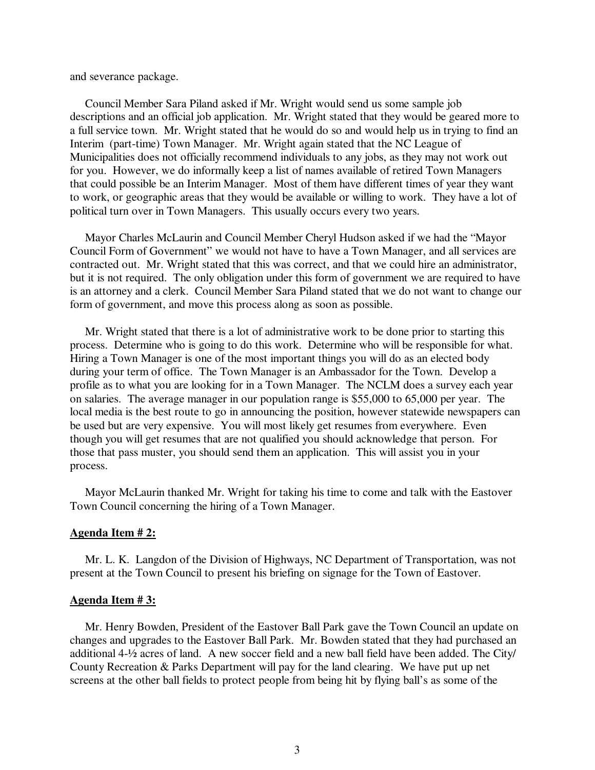and severance package.

 Council Member Sara Piland asked if Mr. Wright would send us some sample job descriptions and an official job application. Mr. Wright stated that they would be geared more to a full service town. Mr. Wright stated that he would do so and would help us in trying to find an Interim (part-time) Town Manager. Mr. Wright again stated that the NC League of Municipalities does not officially recommend individuals to any jobs, as they may not work out for you. However, we do informally keep a list of names available of retired Town Managers that could possible be an Interim Manager. Most of them have different times of year they want to work, or geographic areas that they would be available or willing to work. They have a lot of political turn over in Town Managers. This usually occurs every two years.

 Mayor Charles McLaurin and Council Member Cheryl Hudson asked if we had the "Mayor Council Form of Government" we would not have to have a Town Manager, and all services are contracted out. Mr. Wright stated that this was correct, and that we could hire an administrator, but it is not required. The only obligation under this form of government we are required to have is an attorney and a clerk. Council Member Sara Piland stated that we do not want to change our form of government, and move this process along as soon as possible.

 Mr. Wright stated that there is a lot of administrative work to be done prior to starting this process. Determine who is going to do this work. Determine who will be responsible for what. Hiring a Town Manager is one of the most important things you will do as an elected body during your term of office. The Town Manager is an Ambassador for the Town. Develop a profile as to what you are looking for in a Town Manager. The NCLM does a survey each year on salaries. The average manager in our population range is \$55,000 to 65,000 per year. The local media is the best route to go in announcing the position, however statewide newspapers can be used but are very expensive. You will most likely get resumes from everywhere. Even though you will get resumes that are not qualified you should acknowledge that person. For those that pass muster, you should send them an application. This will assist you in your process.

 Mayor McLaurin thanked Mr. Wright for taking his time to come and talk with the Eastover Town Council concerning the hiring of a Town Manager.

#### **Agenda Item # 2:**

 Mr. L. K. Langdon of the Division of Highways, NC Department of Transportation, was not present at the Town Council to present his briefing on signage for the Town of Eastover.

#### **Agenda Item # 3:**

 Mr. Henry Bowden, President of the Eastover Ball Park gave the Town Council an update on changes and upgrades to the Eastover Ball Park. Mr. Bowden stated that they had purchased an additional 4-½ acres of land. A new soccer field and a new ball field have been added. The City/ County Recreation & Parks Department will pay for the land clearing. We have put up net screens at the other ball fields to protect people from being hit by flying ball's as some of the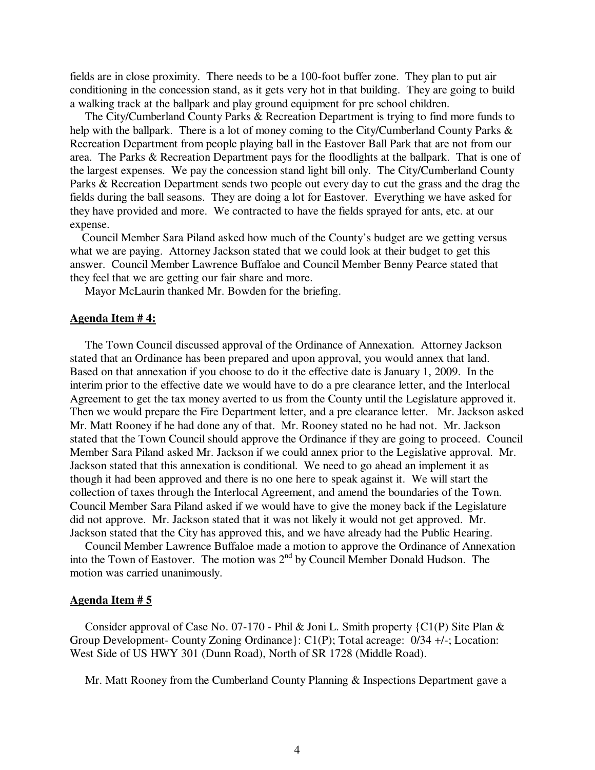fields are in close proximity. There needs to be a 100-foot buffer zone. They plan to put air conditioning in the concession stand, as it gets very hot in that building. They are going to build a walking track at the ballpark and play ground equipment for pre school children.

 The City/Cumberland County Parks & Recreation Department is trying to find more funds to help with the ballpark. There is a lot of money coming to the City/Cumberland County Parks & Recreation Department from people playing ball in the Eastover Ball Park that are not from our area. The Parks & Recreation Department pays for the floodlights at the ballpark. That is one of the largest expenses. We pay the concession stand light bill only. The City/Cumberland County Parks & Recreation Department sends two people out every day to cut the grass and the drag the fields during the ball seasons. They are doing a lot for Eastover. Everything we have asked for they have provided and more. We contracted to have the fields sprayed for ants, etc. at our expense.

 Council Member Sara Piland asked how much of the County's budget are we getting versus what we are paying. Attorney Jackson stated that we could look at their budget to get this answer. Council Member Lawrence Buffaloe and Council Member Benny Pearce stated that they feel that we are getting our fair share and more.

Mayor McLaurin thanked Mr. Bowden for the briefing.

#### **Agenda Item # 4:**

The Town Council discussed approval of the Ordinance of Annexation. Attorney Jackson stated that an Ordinance has been prepared and upon approval, you would annex that land. Based on that annexation if you choose to do it the effective date is January 1, 2009. In the interim prior to the effective date we would have to do a pre clearance letter, and the Interlocal Agreement to get the tax money averted to us from the County until the Legislature approved it. Then we would prepare the Fire Department letter, and a pre clearance letter. Mr. Jackson asked Mr. Matt Rooney if he had done any of that. Mr. Rooney stated no he had not. Mr. Jackson stated that the Town Council should approve the Ordinance if they are going to proceed. Council Member Sara Piland asked Mr. Jackson if we could annex prior to the Legislative approval. Mr. Jackson stated that this annexation is conditional. We need to go ahead an implement it as though it had been approved and there is no one here to speak against it. We will start the collection of taxes through the Interlocal Agreement, and amend the boundaries of the Town. Council Member Sara Piland asked if we would have to give the money back if the Legislature did not approve. Mr. Jackson stated that it was not likely it would not get approved. Mr. Jackson stated that the City has approved this, and we have already had the Public Hearing.

 Council Member Lawrence Buffaloe made a motion to approve the Ordinance of Annexation into the Town of Eastover. The motion was 2<sup>nd</sup> by Council Member Donald Hudson. The motion was carried unanimously.

#### **Agenda Item # 5**

 Consider approval of Case No. 07-170 - Phil & Joni L. Smith property {C1(P) Site Plan & Group Development- County Zoning Ordinance}: C1(P); Total acreage: 0/34 +/-; Location: West Side of US HWY 301 (Dunn Road), North of SR 1728 (Middle Road).

Mr. Matt Rooney from the Cumberland County Planning & Inspections Department gave a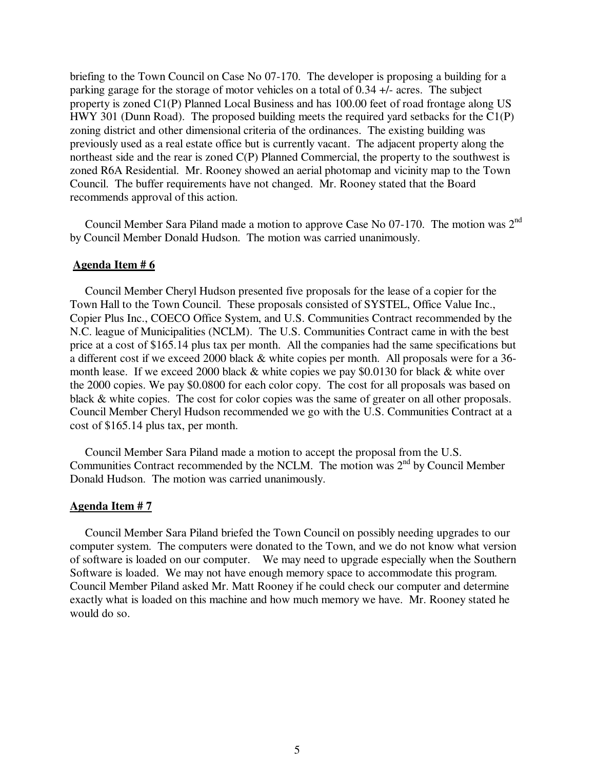briefing to the Town Council on Case No 07-170. The developer is proposing a building for a parking garage for the storage of motor vehicles on a total of 0.34 +/- acres. The subject property is zoned C1(P) Planned Local Business and has 100.00 feet of road frontage along US HWY 301 (Dunn Road). The proposed building meets the required yard setbacks for the C1(P) zoning district and other dimensional criteria of the ordinances. The existing building was previously used as a real estate office but is currently vacant. The adjacent property along the northeast side and the rear is zoned C(P) Planned Commercial, the property to the southwest is zoned R6A Residential. Mr. Rooney showed an aerial photomap and vicinity map to the Town Council. The buffer requirements have not changed. Mr. Rooney stated that the Board recommends approval of this action.

 Council Member Sara Piland made a motion to approve Case No 07-170. The motion was 2nd by Council Member Donald Hudson. The motion was carried unanimously.

### **Agenda Item # 6**

 Council Member Cheryl Hudson presented five proposals for the lease of a copier for the Town Hall to the Town Council. These proposals consisted of SYSTEL, Office Value Inc., Copier Plus Inc., COECO Office System, and U.S. Communities Contract recommended by the N.C. league of Municipalities (NCLM). The U.S. Communities Contract came in with the best price at a cost of \$165.14 plus tax per month. All the companies had the same specifications but a different cost if we exceed 2000 black & white copies per month. All proposals were for a 36 month lease. If we exceed 2000 black & white copies we pay \$0.0130 for black & white over the 2000 copies. We pay \$0.0800 for each color copy. The cost for all proposals was based on black & white copies. The cost for color copies was the same of greater on all other proposals. Council Member Cheryl Hudson recommended we go with the U.S. Communities Contract at a cost of \$165.14 plus tax, per month.

 Council Member Sara Piland made a motion to accept the proposal from the U.S. Communities Contract recommended by the NCLM. The motion was  $2<sup>nd</sup>$  by Council Member Donald Hudson. The motion was carried unanimously.

#### **Agenda Item # 7**

Council Member Sara Piland briefed the Town Council on possibly needing upgrades to our computer system. The computers were donated to the Town, and we do not know what version of software is loaded on our computer. We may need to upgrade especially when the Southern Software is loaded. We may not have enough memory space to accommodate this program. Council Member Piland asked Mr. Matt Rooney if he could check our computer and determine exactly what is loaded on this machine and how much memory we have. Mr. Rooney stated he would do so.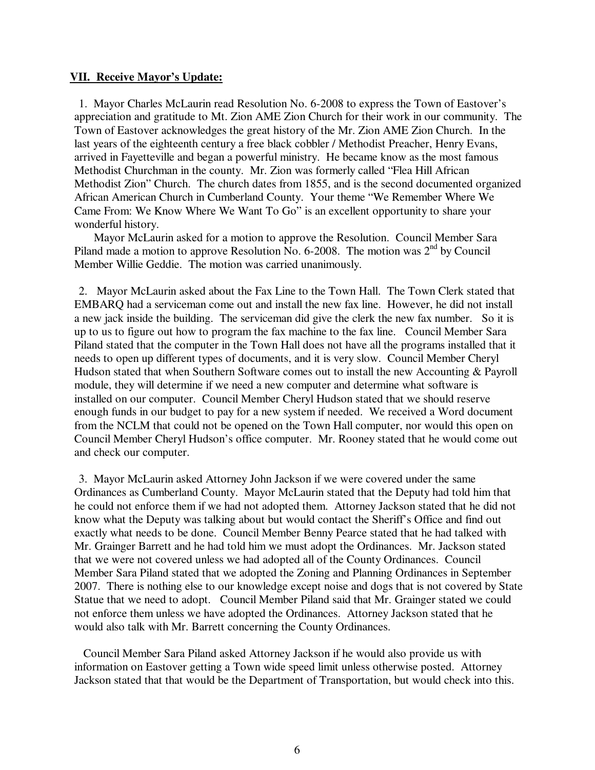#### **VII. Receive Mayor's Update:**

1. Mayor Charles McLaurin read Resolution No. 6-2008 to express the Town of Eastover's appreciation and gratitude to Mt. Zion AME Zion Church for their work in our community. The Town of Eastover acknowledges the great history of the Mr. Zion AME Zion Church. In the last years of the eighteenth century a free black cobbler / Methodist Preacher, Henry Evans, arrived in Fayetteville and began a powerful ministry. He became know as the most famous Methodist Churchman in the county. Mr. Zion was formerly called "Flea Hill African Methodist Zion" Church. The church dates from 1855, and is the second documented organized African American Church in Cumberland County. Your theme "We Remember Where We Came From: We Know Where We Want To Go" is an excellent opportunity to share your wonderful history.

 Mayor McLaurin asked for a motion to approve the Resolution. Council Member Sara Piland made a motion to approve Resolution No. 6-2008. The motion was  $2<sup>nd</sup>$  by Council Member Willie Geddie. The motion was carried unanimously.

2. Mayor McLaurin asked about the Fax Line to the Town Hall. The Town Clerk stated that EMBARQ had a serviceman come out and install the new fax line. However, he did not install a new jack inside the building. The serviceman did give the clerk the new fax number. So it is up to us to figure out how to program the fax machine to the fax line. Council Member Sara Piland stated that the computer in the Town Hall does not have all the programs installed that it needs to open up different types of documents, and it is very slow. Council Member Cheryl Hudson stated that when Southern Software comes out to install the new Accounting & Payroll module, they will determine if we need a new computer and determine what software is installed on our computer. Council Member Cheryl Hudson stated that we should reserve enough funds in our budget to pay for a new system if needed. We received a Word document from the NCLM that could not be opened on the Town Hall computer, nor would this open on Council Member Cheryl Hudson's office computer. Mr. Rooney stated that he would come out and check our computer.

3. Mayor McLaurin asked Attorney John Jackson if we were covered under the same Ordinances as Cumberland County. Mayor McLaurin stated that the Deputy had told him that he could not enforce them if we had not adopted them. Attorney Jackson stated that he did not know what the Deputy was talking about but would contact the Sheriff's Office and find out exactly what needs to be done. Council Member Benny Pearce stated that he had talked with Mr. Grainger Barrett and he had told him we must adopt the Ordinances. Mr. Jackson stated that we were not covered unless we had adopted all of the County Ordinances. Council Member Sara Piland stated that we adopted the Zoning and Planning Ordinances in September 2007. There is nothing else to our knowledge except noise and dogs that is not covered by State Statue that we need to adopt. Council Member Piland said that Mr. Grainger stated we could not enforce them unless we have adopted the Ordinances. Attorney Jackson stated that he would also talk with Mr. Barrett concerning the County Ordinances.

 Council Member Sara Piland asked Attorney Jackson if he would also provide us with information on Eastover getting a Town wide speed limit unless otherwise posted. Attorney Jackson stated that that would be the Department of Transportation, but would check into this.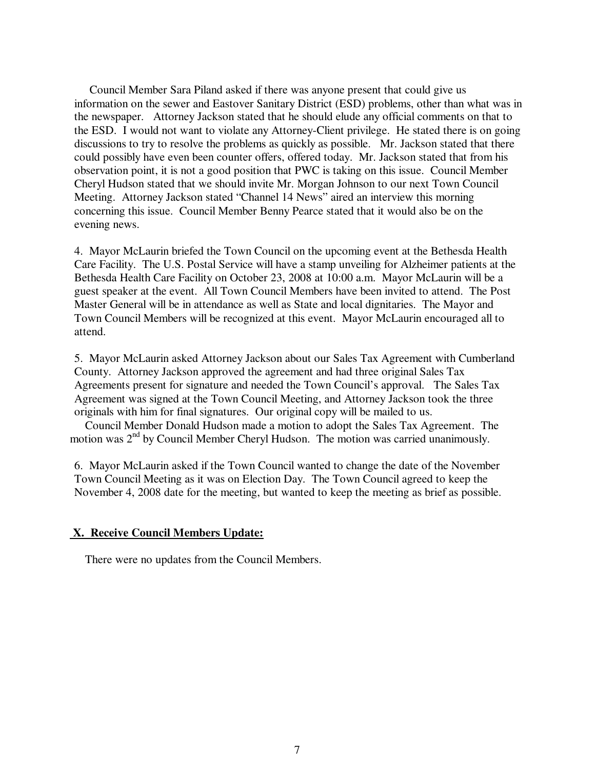Council Member Sara Piland asked if there was anyone present that could give us information on the sewer and Eastover Sanitary District (ESD) problems, other than what was in the newspaper. Attorney Jackson stated that he should elude any official comments on that to the ESD. I would not want to violate any Attorney-Client privilege. He stated there is on going discussions to try to resolve the problems as quickly as possible. Mr. Jackson stated that there could possibly have even been counter offers, offered today. Mr. Jackson stated that from his observation point, it is not a good position that PWC is taking on this issue. Council Member Cheryl Hudson stated that we should invite Mr. Morgan Johnson to our next Town Council Meeting. Attorney Jackson stated "Channel 14 News" aired an interview this morning concerning this issue. Council Member Benny Pearce stated that it would also be on the evening news.

4. Mayor McLaurin briefed the Town Council on the upcoming event at the Bethesda Health Care Facility. The U.S. Postal Service will have a stamp unveiling for Alzheimer patients at the Bethesda Health Care Facility on October 23, 2008 at 10:00 a.m. Mayor McLaurin will be a guest speaker at the event. All Town Council Members have been invited to attend. The Post Master General will be in attendance as well as State and local dignitaries. The Mayor and Town Council Members will be recognized at this event. Mayor McLaurin encouraged all to attend.

5. Mayor McLaurin asked Attorney Jackson about our Sales Tax Agreement with Cumberland County. Attorney Jackson approved the agreement and had three original Sales Tax Agreements present for signature and needed the Town Council's approval. The Sales Tax Agreement was signed at the Town Council Meeting, and Attorney Jackson took the three originals with him for final signatures. Our original copy will be mailed to us.

 Council Member Donald Hudson made a motion to adopt the Sales Tax Agreement. The motion was  $2<sup>nd</sup>$  by Council Member Cheryl Hudson. The motion was carried unanimously.

6. Mayor McLaurin asked if the Town Council wanted to change the date of the November Town Council Meeting as it was on Election Day. The Town Council agreed to keep the November 4, 2008 date for the meeting, but wanted to keep the meeting as brief as possible.

### **X. Receive Council Members Update:**

There were no updates from the Council Members.